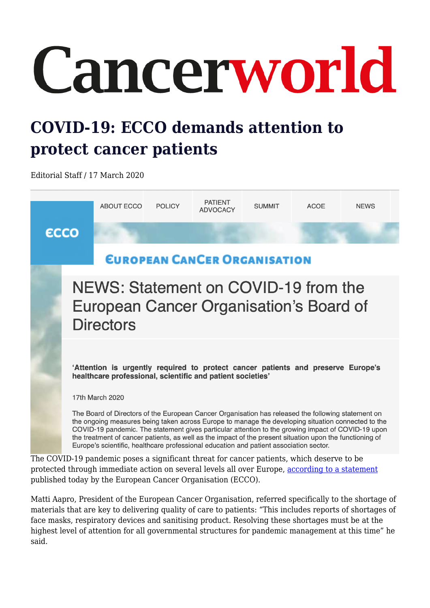## Cancerworld

## **COVID-19: ECCO demands attention to protect cancer patients**

Editorial Staff / 17 March 2020



protected through immediate action on several levels all over Europe, [according to a statement](https://www.ecco-org.eu/Global/News/Latest-News/2020/03/NEWS-Statement-on-COVID-19-from-the-European-Cancer-Organisation-Board-of-Directors) published today by the European Cancer Organisation (ECCO). Matti Aapro, President of the European Cancer Organisation, referred specifically to the shortage of

materials that are key to delivering quality of care to patients: "This includes reports of shortages of face masks, respiratory devices and sanitising product. Resolving these shortages must be at the highest level of attention for all governmental structures for pandemic management at this time" he said.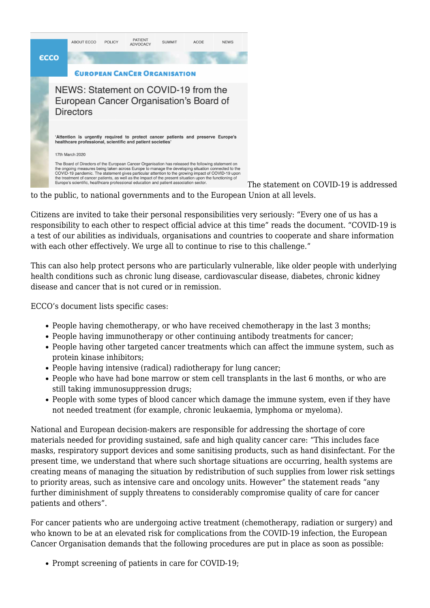

The statement on COVID-19 is addressed

to the public, to national governments and to the European Union at all levels.

Citizens are invited to take their personal responsibilities very seriously: "Every one of us has a responsibility to each other to respect official advice at this time" reads the document. "COVID-19 is a test of our abilities as individuals, organisations and countries to cooperate and share information with each other effectively. We urge all to continue to rise to this challenge."

This can also help protect persons who are particularly vulnerable, like older people with underlying health conditions such as chronic lung disease, cardiovascular disease, diabetes, chronic kidney disease and cancer that is not cured or in remission.

ECCO's document lists specific cases:

- People having chemotherapy, or who have received chemotherapy in the last 3 months;
- People having immunotherapy or other continuing antibody treatments for cancer;
- People having other targeted cancer treatments which can affect the immune system, such as protein kinase inhibitors;
- People having intensive (radical) radiotherapy for lung cancer;
- People who have had bone marrow or stem cell transplants in the last 6 months, or who are still taking immunosuppression drugs;
- People with some types of blood cancer which damage the immune system, even if they have not needed treatment (for example, chronic leukaemia, lymphoma or myeloma).

National and European decision-makers are responsible for addressing the shortage of core materials needed for providing sustained, safe and high quality cancer care: "This includes face masks, respiratory support devices and some sanitising products, such as hand disinfectant. For the present time, we understand that where such shortage situations are occurring, health systems are creating means of managing the situation by redistribution of such supplies from lower risk settings to priority areas, such as intensive care and oncology units. However" the statement reads "any further diminishment of supply threatens to considerably compromise quality of care for cancer patients and others".

For cancer patients who are undergoing active treatment (chemotherapy, radiation or surgery) and who known to be at an elevated risk for complications from the COVID-19 infection, the European Cancer Organisation demands that the following procedures are put in place as soon as possible:

• Prompt screening of patients in care for COVID-19;